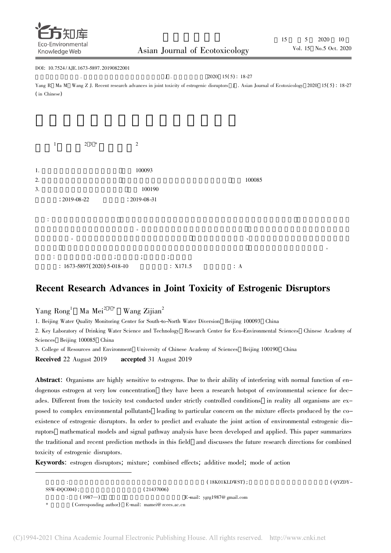

### DOI: 10.7524 /AJE.1673-5897. 20190822001  $\overline{J}$  . 2020 15(5): 18-27 Yang R Ma M Wang Z J. Recent research advances in joint toxicity of estrogenic disruptors J . Asian Journal of Ecotoxicology 2020 15(5): 18-27 ( in Chinese)



# Recent Research Advances in Joint Toxicity of Estrogenic Disruptors

Yang Rong Ma  $Mei<sup>23*</sup>$  $2^{3}$  \* Wang Zijian<sup>2</sup>

1. Beijing Water Quality Monitoring Center for South-to-North Water Diversion Beijing 100093 China

2. Key Laboratory of Drinking Water Science and Technology Research Center for Eco-Environmental Sciences Chinese Academy of Sciences Beijing 100085 China

3. College of Resources and Environment University of Chinese Academy of Sciences Beijing 100190 China

Received 22 August 2019 accepted 31 August 2019

Abstract: Organisms are highly sensitive to estrogens. Due to their ability of interfering with normal function of endogenous estrogen at very low concentration they have been a research hotspot of environmental science for decades. Different from the toxicity test conducted under strictly controlled conditions in reality all organisms are exposed to complex environmental pollutants leading to particular concern on the mixture effects produced by the coexistence of estrogenic disruptors. In order to predict and evaluate the joint action of environmental estrogenic disruptors mathematical models and signal pathway analysis have been developed and applied. This paper summarizes the traditional and recent prediction methods in this field and discusses the future research directions for combined toxicity of estrogenic disruptors.

Keywords: estrogen disruptors; mixture; combined effects; additive model; mode of action

|                |                                                   | (18K01KLDWST);                       | ( OYZDY– |
|----------------|---------------------------------------------------|--------------------------------------|----------|
| $SSW-DQCO04$ ; | (21437006)                                        |                                      |          |
| $(1987-)$      |                                                   | E-mail: $\text{ygrg1987@ gmail.com}$ |          |
| *              | (Corresponding author) E-mail: mamei@ rcees.ac.cn |                                      |          |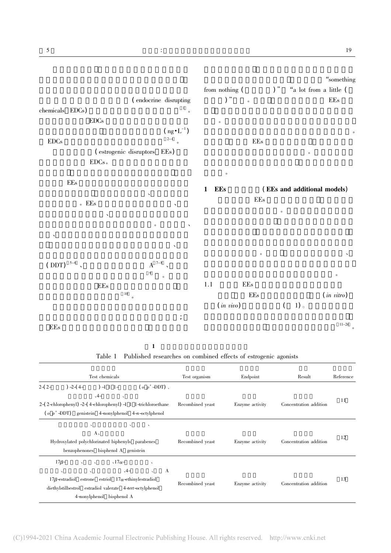

| Table 1 Published researches on combined effects of estrogenic agonists |  |  |  |  |  |  |  |  |  |
|-------------------------------------------------------------------------|--|--|--|--|--|--|--|--|--|
|-------------------------------------------------------------------------|--|--|--|--|--|--|--|--|--|

| Test chemicals                                                                                                                                                                                                                                                                                | Test organism    | Endpoint        | Result                 | Reference |
|-----------------------------------------------------------------------------------------------------------------------------------------------------------------------------------------------------------------------------------------------------------------------------------------------|------------------|-----------------|------------------------|-----------|
| $(o\ p'\text{-DDT})$ ,<br>$2-(2-$<br>$2-(4-$<br>$-1$ 1 1 -<br>$-4-$<br>$\lambda$<br>$2-(2-ehloropheny) -2-(4-ehloropheny) -1 1 1-trichloroethane$<br>$(o, p' - DDT)$ genistein 4-nonylphenol 4-n-octylphenol                                                                                  | Recombined yeast | Enzyme activity | Concentration addition | 11        |
| $\lambda$<br>$\lambda$<br>$\overline{\phantom{a}}$<br>$A_{\lambda}$<br>Hydroxylated polychlorinated biphenyls parabenes<br>benzophenones bisphenol A genistein                                                                                                                                | Recombined yeast | Enzyme activity | Concentration addition | 12        |
| $\sqrt{17\alpha-1}$<br>$17\beta-$<br>$\sim$<br>$\sim$<br>$\lambda$<br>$\mathbf{A}$<br>$-4-$<br>$\sim$<br>$\lambda$<br>$\lambda$<br>$17\beta$ -estradiol estrone estriol $17\alpha$ -ethinylestradiol<br>diethylstilbestrol estradiol valerate 4-tert-octylphenol<br>4-nonylphenol bisphenol A | Recombined yeast | Enzyme activity | Concentration addition | 13        |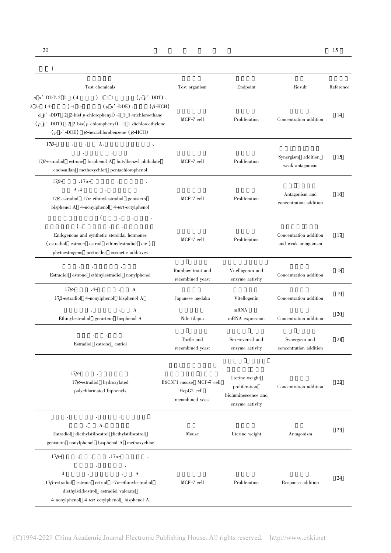#### 续表1

| Test chemicals                                                                                                                                                                                                                                                                                                                         | Test organism                                             | Endpoint                                                                  | Result                                        | Reference |
|----------------------------------------------------------------------------------------------------------------------------------------------------------------------------------------------------------------------------------------------------------------------------------------------------------------------------------------|-----------------------------------------------------------|---------------------------------------------------------------------------|-----------------------------------------------|-----------|
| $-1$ 1 1 -<br>$(p \ p' \text{-DDT})$ .<br>$o$ p' -DDT $2$ 2- (4-<br>$(p \ p' \text{-DDE})$ ,<br>2 2- (4-<br>$-1$ 1-<br>$(\beta$ -HCH)<br>$o$ p' -DDT 2 2-bis(p-chlorophenyl) -1 1 1-trichloroethane<br>$(p p' - DDT)$ 2 2-bis(p-chlorophenyl) -1 1-dichloroethylene<br>$(p p' -\text{DDE})$ $\beta$ -hexachlorobenzene ( $\beta$ -HCH) | $MCF-7$ cell                                              | Proliferation                                                             | Concentration addition                        | 14        |
| $A_{\lambda}$<br>$17\beta-$<br>All Controllers<br>$17\beta$ -estradiol estrone bisphenol A butylbenzyl phthalate<br>endosulfan methoxychlor pentachlorophenol                                                                                                                                                                          | $MCF-7$ cell                                              | Proliferation                                                             | Synergism addition<br>weak antagonism         | 15        |
| $17\beta-$<br>$\sqrt{17\alpha-1}$<br>$\Delta$<br>$A_2 -$<br>$\overline{a}$<br>$17\beta$ -estradiol $17\alpha$ -ethinylestradiol genistein<br>bisphenol A 4-nonylphenol 4-tert-octylphenol                                                                                                                                              | $MCF-7$ cell                                              | Proliferation                                                             | Antagonism and<br>concentration addition      | 16        |
| $\left($<br>$)$ ,<br>Endogenous and synthetic steroidal hormones<br>(estradiol estrone estriol ethinylestradiol etc.)<br>phytoestrogens pesticides cosmetic additives                                                                                                                                                                  | $MCF-7$ cell                                              | Proliferation                                                             | Concentration addition<br>and weak antagonism | 17        |
| Estradiol estrone ethinylestradiol nonylphenol                                                                                                                                                                                                                                                                                         | Rainbow trout and<br>recombined yeast                     | Vitellogenin and<br>enzyme activity                                       | Concentration addition                        | 18        |
| $17\beta-$<br>$-4-$<br>A<br>$17\beta$ -estradiol 4-nonylphenol bisphenol A                                                                                                                                                                                                                                                             | Japanese medaka                                           | Vitellogenin                                                              | Concentration addition                        | 19        |
| A<br>Ethinylestradiol genistein bisphenol A                                                                                                                                                                                                                                                                                            | Nile tilapia                                              | mRNA<br>mRNA expression                                                   | Concentration addition                        | 20        |
| Estradiol estrone estriol                                                                                                                                                                                                                                                                                                              | Turtle and<br>recombined yeast                            | Sex-reversal and<br>enzyme activity                                       | Synergism and<br>concentration addition       | 21        |
| $17\beta-$<br>$17\beta$ -estradiol hydroxylated<br>polychlorinated biphenyls                                                                                                                                                                                                                                                           | B6C3F1 mouse MCF-7 cell<br>HepG2 cell<br>recombined yeast | Uterine weight<br>proliferation<br>bioluminescence and<br>enzyme activity | Concentration addition                        | 22        |
| $\lambda$<br>$A_{\lambda}$<br>$\overline{\phantom{a}}$<br>Estradiol diethylstilbestrol diethylstilbestrol<br>genistein nonylphenol bisphenol A methoxychlor                                                                                                                                                                            | Mouse                                                     | Uterine weight                                                            | Antagonism                                    | 23        |
| $\sqrt{17\alpha-1}$<br>$17\beta-$<br>$\sim$ $\sim$<br>$\Delta$<br>$\overline{\phantom{a}}$<br>A<br>$4-$<br>$17\beta$ -estradiol estrone estriol $17\alpha$ -ethinylestradiol<br>diethylstilbestrol estradiol valerate<br>4-nonylphenol 4-tert-octylphenol bisphenol A                                                                  | $MCF-7$ cell                                              | Proliferation                                                             | Response addition                             | 24        |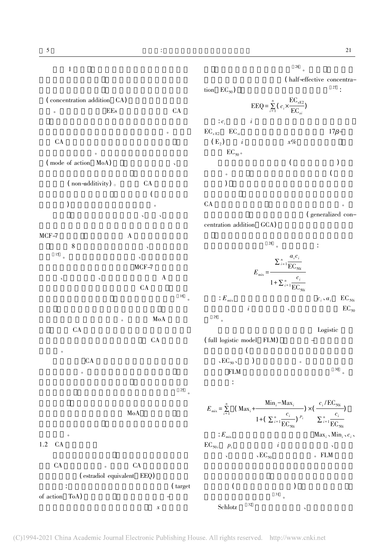$1$ 

 $\frac{26}{\circ}$ 

( concentration addition CA)  $\overline{\phantom{a}}$  EEs  $\overline{\phantom{a}}$  CA  $\bullet$ CA the company of  $CA$  $\bullet$ ( mode of action MoA)  $(\text{non-additivity})$   $\circ$  CA  $\epsilon$ as a set of  $\sim$ 例如 研究者发现使用雌激素、酚类、邻苯二甲  $MCF-7$  A  $8$  $\frac{15}{\circ}$ MCF-7  $\lambda$  a set of  $\lambda$  and  $\lambda$  $CA$  $16\atop{6}$ 度上决定了模型是否适用。在 多 重 MoA 的 情 况 CA SOFT 但当研究中涉及混合物效应预测 CA 的使用应 当谨慎。  $CA$  $\overline{O}$  $\frac{25}{c}$  $MoA$ 的路要走。  $1.2$   $CA$  $CA$  expansion  $CA$ ( estradiol equivalent EEQ)  $\ddot{\phantom{a}}$ :  $\ddot{\phantom{a}}$ of action ToA) (half-effective concentra- $\text{tion } \text{EC}_{50}$  ,  $^{27}$  : EEQ =  $\sum_{n=1}^{n}$  $\sum_{i=1}^n (c_i \times$  $EC_{xE2}$  $\frac{1}{\text{EC}_{xi}}$  $\therefore c_i$  i  $i$  $\text{EC}_{x \to 2}$   $\text{EC}_{xi}$  17β-( E<sub>2</sub> ) i  $x\%$  $EC_{50}$ 。  $($  $\bullet$  and  $\bullet$  and  $\bullet$  and  $\bullet$  and  $\bullet$  and  $\bullet$  and  $\bullet$  and  $\bullet$  and  $\bullet$  and  $\bullet$  and  $\bullet$  and  $\bullet$  and  $\bullet$  and  $\bullet$  and  $\bullet$  and  $\bullet$  and  $\bullet$  and  $\bullet$  and  $\bullet$  and  $\bullet$  and  $\bullet$  and  $\bullet$  and  $\bullet$  and  $\bullet$  and  $\bullet$  ) , we have  $\Gamma$  $CA$ (generalized concentration addition GCA)  $\frac{28}{\circ}$  $E_{\text{mix}} =$  $\sum_{i=1}^{n}$  $a_i c_i$  $EC_{50i}$  $1+\sum_{i=1}^{n}$  $\overline{c_i}$  $EC_{50i}$  $c_i \cdot a_i \quad \ \ \mathop{\mathrm{EC}}\nolimits_{50i}$  $i$  i  $\text{EC}_{50}$ 29 。 Logistic ( full logistic model FLM)  $\left($  $\sum_{s \in \mathbf{C}_{50}}$  ,  $\sum_{s \in \mathbf{N}}$  ,  $\sum_{s \in \mathbf{C}_{50}}$  ,  $\sum_{s \in \mathbf{C}_{50}}$  ,  $\sum_{s \in \mathbf{C}_{50}}$  ,  $\sum_{s \in \mathbf{C}_{50}}$  ,  $\sum_{s \in \mathbf{C}_{50}}$  ,  $\sum_{s \in \mathbf{C}_{50}}$  ,  $\sum_{s \in \mathbf{C}_{50}}$  ,  $\sum_{s \in \mathbf{C}_{50}}$  ,  $\sum_{s \in \mathbf{C}_{50}}$  ,  $\sum_{$  $FLM$   $30$ 可表示为:  $E_{\text{mix}} = \sum_{n=1}^{n}$  $\sum_{i=1}^{n}$  (Max<sub>i</sub>+  $Min_i-Max_i$ 1+( $\sum_{i=1}^{n}$  $\overline{c_i}$  $\frac{C_i}{\text{EC}_{50i}}$ <sup>P<sub>i</sub></sup>  $\times (\frac{c_i / EC_{50i}}{2})$  $\sum_{i=1}^{n}$  $\overline{c_i}$  $EC_{50i}$ ) ]  $\ldots$   $\ldots$   $\ldots$   $\ldots$   $\ldots$   $\ldots$   $\ldots$   $\ldots$   $\ldots$   $\ldots$   $\ldots$   $\ldots$   $\ldots$   $\ldots$   $\ldots$   $\ldots$   $\ldots$   $\ldots$   $\ldots$   $\ldots$   $\ldots$   $\ldots$   $\ldots$   $\ldots$   $\ldots$   $\ldots$   $\ldots$   $\ldots$   $\ldots$   $\ldots$   $\ldots$   $\ldots$   $\ldots$   $\ldots$   $\ldots$   $\ldots$   $\ldots$  $EC_{50i}$   $p_i$  i  $\mathcal{L} \times \mathcal{EC}_{50}$   $\mathcal{L}$  FLM  $($  ,  $)$  $\frac{31}{c}$ 

 $Schlotz$   $32$ 

 $\chi$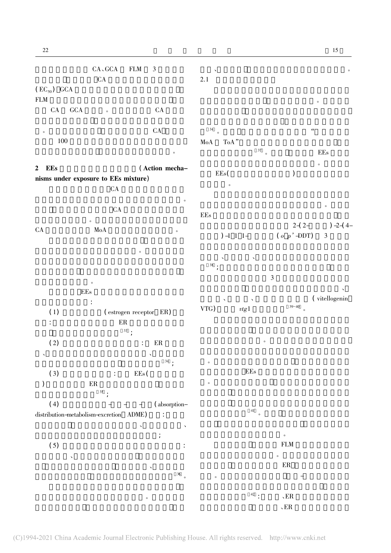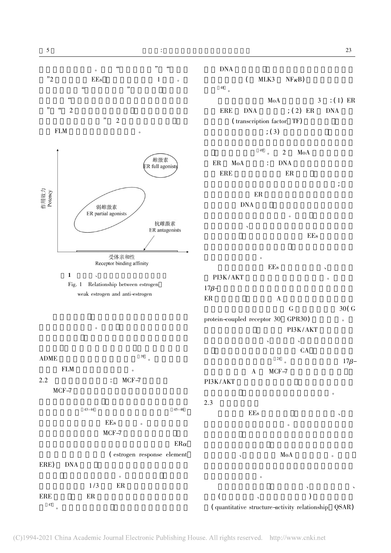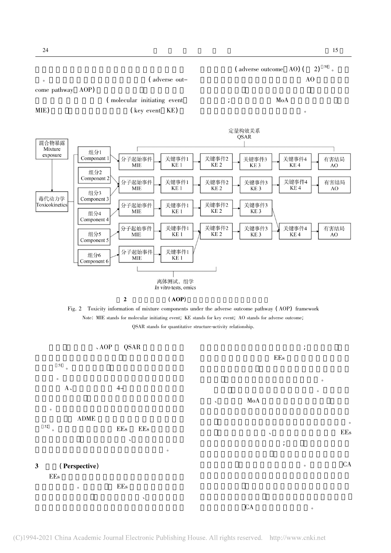



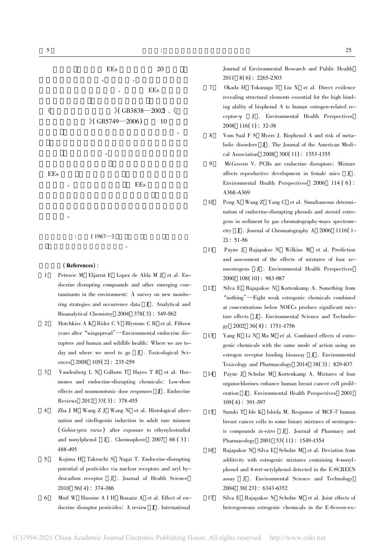

(References):

- 1 Petrovic M Eljarrat E Lopez de Alda M J et al. Endocrine disrupting compounds and other emerging contaminants in the environment: A survey on new monitoring strategies and occurrence data J . Analytical and Bioanalytical Chemistry 2004 378( 3) : 549-562
- 2 Hotchkiss A K Rider C V Blystone C R et al. Fifteen years after"wingspread"—Environmental endocrine disrupters and human and wildlife health: Where we are today and where we need to go J . Toxicological Sciences 2008 105(2): 235-259
- 3 Vandenberg L N Colborn T Hayes T B et al. Hormones and endocrine-disrupting chemicals: Low-dose effects and nonmonotonic dose responses J . Endocrine Reviews 2012 33( 3) : 378-455
- 4 Zha J M Wang Z J Wang N et al. Histological alternation and vitellogenin induction in adult rare minnow ( Gobiocypris rarus) after exposure to ethynylestradiol and nonylphenol J . Chemosphere 2007 66 ( 3) : 488-495
- 5 Kojima H Takeuchi S Nagai T. Endocrine-disrupting potential of pesticides via nuclear receptors and aryl hydrocarbon receptor J . Journal of Health Science 2010 56( 4) : 374-386
- 6 Mnif W Hassine A I H Bouaziz A et al. Effect of endocrine disruptor pesticides: A review J . International

Journal of Environmental Research and Public Health 2011 8( 6) : 2265-2303

- 7 Okada H Tokunaga T Liu X et al. Direct evidence revealing structural elements essential for the high binding ability of bisphenol A to human estrogen-related receptor-<sup>γ</sup> J . Environmental Health Perspectives 2008 116( 1) : 32-38
- 8 Vom Saal F S Myers J. Bisphenol A and risk of metabolic disorders J . The Journal of the American Medical Association 2008 300( 11) : 1353-1355
- 9 McGovern V. PCBs are endocrine disruptors: Mixture affects reproductive development in female mice J . Environmental Health Perspectives 2006 114 (6): A368-A369
- 10 Peng X Wang Z Yang C et al. Simultaneous determination of endocrine-disrupting phenols and steroid estrogens in sediment by gas chromatography-mass spectrometry J . Journal of Chromatography A 2006 1116( 1-  $2)$ : 51-56
- 11 Payne J Rajapakse N Wilkins M et al. Prediction and assessment of the effects of mixtures of four xenoestrogens J . Environmental Health Perspectives 2000 108( 10) : 983-987
- 12 Silva E Rajapakse N Kortenkamp A. Something from "nothing"—Eight weak estrogenic chemicals combined at concentrations below NOECs produce significant mixture effects J . Environmental Science and Technology 2002 36( 8) : 1751-1756
- 13 Yang R Li N Ma M et al. Combined effects of estrogenic chemicals with the same mode of action using an estrogen receptor binding bioassay J . Environmental Toxicology and Pharmacology 2014 38( 3) : 829-837
- 14 Payne J Scholze M Kortenkamp A. Mixtures of four organochlorines enhance human breast cancer cell proliferation J . Environmental Health Perspectives 2001 109( 4) : 391-397
- 15 Suzuki T Ide K Ishida M. Response of MCF-7 human breast cancer cells to some binary mixtures of oestrogenic compounds in-vitro J . Journal of Pharmacy and Pharmacology 2001 53( 11) : 1549-1554
- 16 Rajapakse N Silva E Scholze M et al. Deviation from additivity with estrogenic mixtures containing 4-nonylphenol and 4-tert-octylphenol detected in the E-SCREEN assay J . Environmental Science and Technology 2004 38( 23) : 6343-6352
- 17 Silva E Rajapakse N Scholze M et al. Joint effects of heterogeneous estrogenic chemicals in the E-Screen-ex-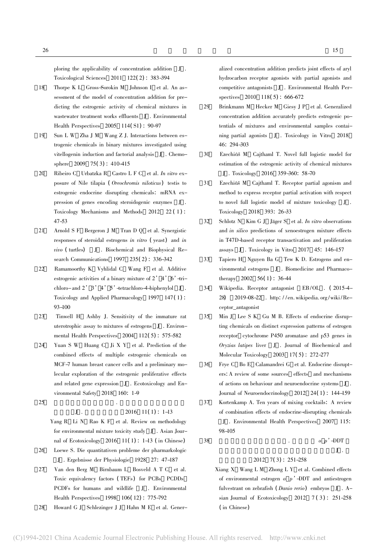ploring the applicability of concentration addition J . Toxicological Sciences 2011 122( 2) : 383-394

- 18 Thorpe K L Gross-Sorokin M Johnson I et al. An assessment of the model of concentration addition for predicting the estrogenic activity of chemical mixtures in wastewater treatment works effluents J . Environmental Health Perspectives 2005 114( S1) : 90-97
- 19 Sun L W Zha J M Wang Z J. Interactions between estrogenic chemicals in binary mixtures investigated using vitellogenin induction and factorial analysis J . Chemosphere 2009 75(3): 410-415
- 20 Ribeiro C Urbatzka R Castro L F C et al. In vitro exposure of Nile tilapia ( Oreochromis niloticus) testis to estrogenic endocrine disrupting chemicals: mRNA expression of genes encoding steroidogenic enzymes J . Toxicology Mechanisms and Methods 2012 22 ( 1) : 47-53
- 21 Arnold S F Bergeron J M Tran D Q et al. Synergistic responses of steroidal estrogens in vitro ( yeast) and in  $vivo$  (turtles)  $J$  . Biochemical and Biophysical Research Communications 1997 235( 2) : 336-342
- 22 Ramamoorthy K Vyhlidal C Wang F et al. Additive estrogenic activities of a binary mixture of  $2'4'6'$ -trichloro-and 2'3'4'5'-tetrachloro-4-biphenylol J . Toxicology and Applied Pharmacology 1997 147( 1) : 93-100
- 23 Tinwell H Ashby J. Sensitivity of the immature rat uterotrophic assay to mixtures of estrogens J . Environmental Health Perspectives 2004 112( 5) : 575-582
- 24 Yuan S W Huang C Ji X Y et al. Prediction of the combined effects of multiple estrogenic chemicals on MCF-7 human breast cancer cells and a preliminary molecular exploration of the estrogenic proliferative effects and related gene expression J . Ecotoxicology and Environmental Safety 2018 160: 1-9
- $25$   $\blacksquare$

## $J \t 2016 \t 11(1) : 1-13$

- Yang R Li N Rao K F et al. Review on methodology for environmental mixture toxicity study J . Asian Journal of Ecotoxicology 2016 11( 1) : 1-13 ( in Chinese)
- 26 Loewe S. Die quantitativen probleme der pharmarkologic J . Ergebnisse der Physiologie 1928 27: 47-187
- 27 Van den Berg M Birnbaum L Bosveld A T C et al. Toxic equivalency factors ( TEFs) for PCBs PCDDs PCDFs for humans and wildlife J . Environmental Health Perspectives 1998 106( 12) : 775-792
- 28 Howard G J Schlezinger J J Hahn M E et al. Gener-

alized concentration addition predicts joint effects of aryl hydrocarbon receptor agonists with partial agonists and competitive antagonists J . Environmental Health Per-

29 Brinkmann M Hecker M Giesy J P et al. Generalized concentration addition accurately predicts estrogenic potentials of mixtures and environmental samples containing partial agonists J . Toxicology in Vitro 2018 46: 294-303

spectives 2010 118(5): 666-672

- 30 Ezechiá M Cajthaml T. Novel full logistic model for estimation of the estrogenic activity of chemical mixtures J . Toxicology 2016 359-360: 58-70
- 31 Ezechiá M Cajthaml T. Receptor partial agonism and method to express receptor partial activation with respect to novel full logistic model of mixture toxicology J . Toxicology 2018 393: 26-33
- 32 Schlotz N Kim G J Jäger S et al. In vitro observations and in silico predictions of xenoestrogen mixture effects in T47D-based receptor transactivation and proliferation assays J . Toxicology in Vitro 2017 45: 146-157
- 33 Tapiero H Nguyen Ba G Tew K D. Estrogens and environmental estrogens J . Biomedicine and Pharmacotherapy 2002 56( 1) : 36-44
- 34 Wikipedia. Receptor antagonist EB/OL . ( 2015-4- 28) [2019-08-22 . http: / /en. wikipedia. org /wiki /Receptor\_antagonist
- 35 Min J Lee S K Gu M B. Effects of endocrine disrupting chemicals on distinct expression patterns of estrogen receptor cytochrome P450 aromatase and p53 genes in Oryzias latipes liver J . Journal of Biochemical and Molecular Toxicology 2003 17( 5) : 272-277
- 36 Frye C Bo E Calamandrei G et al. Endocrine disrupters: A review of some sources effects and mechanisms of actions on behaviour and neuroendocrine systems J . Journal of Neuroendocrinology 2012 24( 1) : 144-159
- 37 Kortenkamp A. Ten years of mixing cocktails: A review of combination effects of endocrine-disrupting chemicals J . Environmental Health Perspectives 2007 115: 98-105

 $38$   $9^{\prime}$  -DDT

#### $J$ .  $2012 \quad 7(3) : 251-258$

Xiang X Wang L M Zhong L Y et al. Combined effects of environmental estrogen  $o$   $p'$  -DDT and antiestrogen fulvestrant on zebrafish ( Danio rerio) embryos J . Asian Journal of Ecotoxicology 2012  $7(3)$ : 251-258 ( in Chinese)